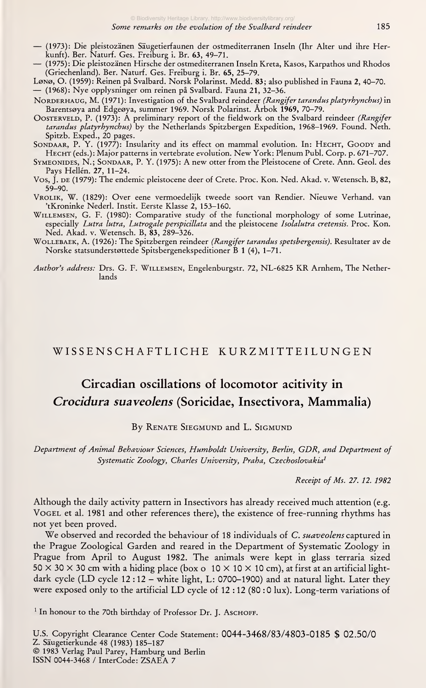- (1973): Die pleistozänen Säugetierfaunen der ostmediterranen Inseln (Ihr Alter und ihre Her-
- (1975): Die pleistozänen Hirsche der ostmediterranen Inseln Kreta, Kasos, Karpathos und Rhodos (Griechenland). Ber. Naturf. Ges. Freiburg i. Br. 65, 25-79.
- Lønø, O. (1959): Reinen på Svalbard. Norsk Polarinst. Medd. 83; also published in Fauna 2, 40–70.<br>— (1968): Nye opplysninger om reinen på Svalbard. Fauna 21, 32–36.
- NORDERHAUG, M. (1971): Investigation of the Svalbard reindeer (Rangifer tarandus platyrhynchus) in Barentsoya and Edgeoya, summer 1969. Norsk Polarinst. Ärbok 1969, 70-79.
- OOSTERVELD, P. (1973): A preliminary report of the fieldwork on the Svalbard reindeer (Rangifer tarandus platyrhynchus) by the Netherlands Spitzbergen Expedition, 1968-1969. Found. Neth. Spitzb. Exped., 20 pages.
- SONDAAR, P. Y. (1977): Insularity and its effect on mammal evolution. In: HECHT, GOODY and Hecht (eds.): Major patterns in vertebrate evolution. New York: Plenum Publ. Corp. p. 671-707.
- Symeonides, N.; Sondaar, P. Y. (1975): A new otter from the Pleistocene of Crete. Ann. Geol. des Pays Hellén. 27, 11-24.
- Vos, J. de (1979): The endemic pleistocene deer of Crete. Proc. Kon. Ned. Akad. v. Wetensch. B, 82, 59-90.
- Vrolik, W. (1829): Over eene vermoedelijk tweede soort van Rendier. Nieuwe Verhand. van 'tKroninke Nederl. Instit. Eerste Klasse 2, 153-160.
- Willemsen, G. F. (1980): Comparative study of the functional morphology of some Lutrinae, especially *Lutra lutra, Lutrogale perspicillata* and the pleistocene *Isolalutra cretensis.* Proc. Kon. Ned. Akad. v. Wetensch. B, 83, 289-326.
- WOLLEBAEK, A. (1926): The Spitzbergen reindeer (Rangifer tarandus spetsbergensis). Resultater av de Norske statsunderstottede Spitsbergenekspeditioner B <sup>1</sup> (4), 1-71.

Author's address: Drs. G. F. Willemsen, Engelenburgstr. 72, NL-6825 KR Arnhem, The Netherlands

## WISSENSCHAFTLICHE KURZMITTEILUNGEN

## Circadian oscillations of locomotor acitivity in Crocidura suaveolens (Soricidae, Insectivora, Mammalia)

By RENATE SIEGMUND and L. SIGMUND

Department of Animal Behaviour Sciences, Humboldt University, Berlin, GDR, and Department of Systematic Zoology, Charles University, Praha, Czechoslovakia<sup>1</sup>

Receipt of Ms. 27. 12. 1982

Although the daily activity pattern in Insectivors has already received much attention (e.g. Vogel et al. 1981 and other references there), the existence of free-running rhythms has not yet been proved.

We observed and recorded the behaviour of 18 individuals of C. suaveolens captured in the Prague Zoological Garden and reared in the Department of Systematic Zoology in Prague from April to August 1982. The animals were kept in glass terraria sized  $50 \times 30 \times 30$  cm with a hiding place (box o  $10 \times 10 \times 10$  cm), at first at an artificial lightdark cycle (LD cycle 12 : 12 - white light, L: 0700-1900) and at natural light. Later they were exposed only to the artificial LD cycle of 12:12 (80:0 lux). Long-term variations of

<sup>1</sup> In honour to the 70th birthday of Professor Dr. J. Aschorf.

U.S. Copyright Clearance Center Code Statement: 0044-3468/83/4803-0185 \$ 02.50/0 © 1983 Verlag Paul Parey, Hamburg und Berlin ISSN 0044-3468 / InterCode: ZSAEA <sup>7</sup>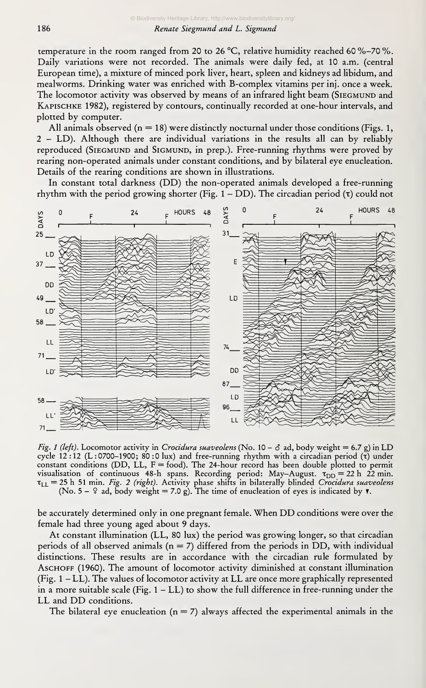temperature in the room ranged from 20 to 26 °C, relative humidity reached 60 %-70 %. Daily variations were not recorded. The animals were daily fed, at 10 a.m. (central European time), a mixture of minced pork liver, heart, spieen and kidneys ad libidum, and mealworms. Drinking water was enriched with B-complex vitamins per inj. once aweek. The locomotor activity was observed by means of an infrared light beam (SIEGMUND and Kapischke 1982), registered by contours, continually recorded at one-hour intervals, and plotted by computer.

All animals observed  $(n = 18)$  were distinctly nocturnal under those conditions (Figs. 1, 2 - LD). Although there are individual variations in the results all can by reliably reproduced (Siegmund and Sigmund, in prep.). Free-running rhythms were proved by rearing non-operated animals under constant conditions, and by bilateral eye enucleation. Details of the rearing conditions are shown in illustrations.

In constant total darkness (DD) the non-operated animals developed <sup>a</sup> free-running rhythm with the period growing shorter (Fig.  $1 - DD$ ). The circadian period ( $\tau$ ) could not



Fig. 1 (left). Locomotor activity in Crocidura suaveolens (No. 10 –  $\delta$  ad, body weight = 6.7 g) in LD cycle 12:12 (L: 0700-1900; 80:0 lux) and free-running rhythm with a circadian period ( $\tau$ ) under constant conditions (DD, LL,  $F = food$ ). The 24-hour record has been double plotted to permit visualisation of continuous 48-h spans. Recording period: May-August.  $\tau_{DD} = 22$  h 22 min.  $\tau_{LL}$  = 25 h 51 min. Fig. 2 (right). Activity phase shifts in bilaterally blinded Crocidura suaveolens (No. 5 – 9 ad, body weight = 7.0 g). The time of enucleation of eyes is indicated by  $\tau$ .

be accurately determined only in one pregnant female. When DD conditions were over the female had three young aged about 9 days.

At constant illumination (LL, 80 lux) the period was growing longer, so that circadian periods of all observed animals ( $n = 7$ ) differed from the periods in DD, with individual distinctions. These results are in accordance with the circadian rule formulated by Aschoff (1960). The amount of locomotor activity diminished at constant illumination (Fig. <sup>1</sup> - LL). The values of locomotor activity at LL are once more graphically represented in a more suitable scale (Fig.  $1 - LL$ ) to show the full difference in free-running under the LL and DD conditions.

The bilateral eye enucleation ( $n = 7$ ) always affected the experimental animals in the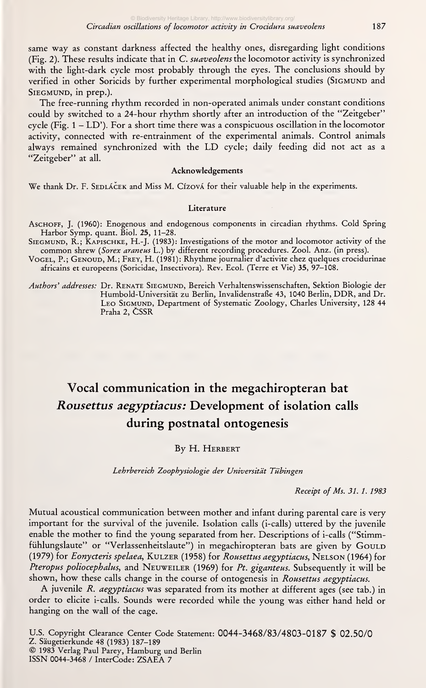same way as constant darkness affected the healthy ones, disregarding light conditions (Fig. 2). These results indicate that in C. suaveolens the locomotor activity is synchronized with the light-dark cycle most probably through the eyes. The conclusions should by verified in other Soricids by further experimental morphological studies (SIGMUND and SIEGMUND, in prep.).

The free-running rhythm recorded in non-operated animals under constant conditions could by switched to a 24-hour rhythm shortly after an introduction of the "Zeitgeber" cycle (Fig.  $1 - LD'$ ). For a short time there was a conspicuous oscillation in the locomotor activity, connected with re-entrainment of the experimental animals. Control animals always remained synchronized with the LD cycle; daily feeding did not act as <sup>a</sup> "Zeitgeber" at all.

#### Acknowledgements

We thank Dr. F. SEDLÁCEK and Miss M. Cízová for their valuable help in the experiments.

#### Literature

- Aschoff, J. (i960): Enogenous and endogenous components in circadian rhythms. Cold Spring Harbor Symp. quant. Biol. 25, 11-28.
- SIEGMUND, R.; KAPISCHKE, H.-J. (1983): Investigations of the motor and locomotor activity of the common shrew (*Sorex araneus* L.) by different recording procedures. Zool. Anz. (in press).
- Vogel, P.; Genoud, M.; Frey, H. (1981): Rhythme journalier d'activite chez quelques crocidurinae africains et europeens (Soricidae, Insectivora). Rev. Ecol. (Terre et Vie) 35, 97-108.
- Authors' addresses: Dr. RENATE SIEGMUND, Bereich Verhaltenswissenschaften, Sektion Biologie der Humbold-Universität zu Berlin, Invalidenstraße 43, 1040 Berlin, DDR, and Dr. LEO SIGMUND, Department of Systematic Zoology, Charles University, 128 44 Praha 2, CSSR

# Vocal communication in the megachiropteran bat Rousettus aegyptiacus: Development of isolation calls during postnatal ontogenesis

### By H. Herbert

Lehrbereich Zoophysiologie der Universität Tübingen

Receipt of Ms. 31.1. 1983

Mutual acoustical communication between mother and infant during parental care is very important for the survival of the juvenile. Isolation calls (i-calls) uttered by the juvenile enable the mother to find the young separated from her. Descriptions of i-calls ("Stimmfühlungslaute" or "Verlassenheitslaute") in megachiropteran bats are given by GOULD (1979) for Eonycteris spelaea, KULZER (1958) for Rousettus aegyptiacus, NELSON (1964) for Pteropus poliocephalus, and NEUWEILER (1969) for Pt. giganteus. Subsequently it will be shown, how these calls change in the course of ontogenesis in Rousettus aegyptiacus.

A juvenile R. aegyptiacus was separated from its mother at different ages (see tab.) in order to elicite i-calls. Sounds were recorded while the young was either hand held or hanging on the wall of the cage.

U.S. Copyright Clearance Center Code Statement: 0044-3468/83/4803-0187 \$ 02.50/0  $\odot$  1983 Verlag Paul Parey, Hamburg und Berlin ISSN 0044-3468 / InterCode: ZSAEA <sup>7</sup>